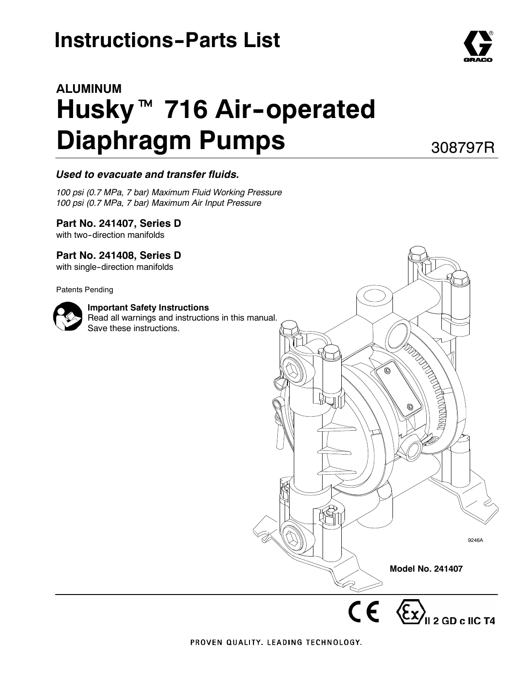# **Instructions-Parts List**

# **ALUMINUM** Husky<sup>™</sup> 716 Air-operated **Diaphragm Pumps**

308797R

#### *Used to evacuate and transfer fluids.*

*100 psi (0.7 MPa, 7 bar) Maximum Fluid Working Pressure 100 psi (0.7 MPa, 7 bar) Maximum Air Input Pressure*

#### **Part No. 241407, Series D**

with two-direction manifolds

#### **Part No. 241408, Series D**

with single-direction manifolds

Patents Pending



#### **Important Safety Instructions**

Read all warnings and instructions in this manual. Save these instructions.



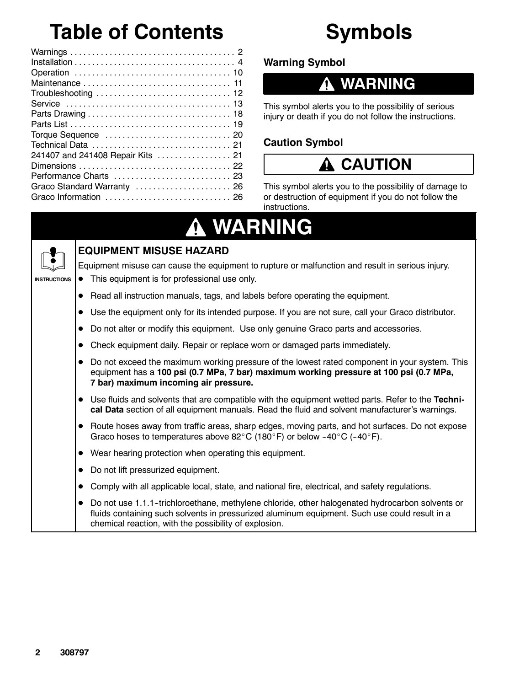# **Table of Contents**

| 241407 and 241408 Repair Kits  21 |
|-----------------------------------|
|                                   |
|                                   |
| Graco Standard Warranty  26       |
|                                   |

# **Symbols**

### **Warning Symbol**

### **WARNING**

This symbol alerts you to the possibility of serious injury or death if you do not follow the instructions.

### **Caution Symbol**



This symbol alerts you to the possibility of damage to or destruction of equipment if you do not follow the instructions.

# **WARNING**



**INSTRUCTIONS**

### **EQUIPMENT MISUSE HAZARD**

Equipment misuse can cause the equipment to rupture or malfunction and result in serious injury.

- This equipment is for professional use only.
- Read all instruction manuals, tags, and labels before operating the equipment.
- Use the equipment only for its intended purpose. If you are not sure, call your Graco distributor.
- Do not alter or modify this equipment. Use only genuine Graco parts and accessories.
- Check equipment daily. Repair or replace worn or damaged parts immediately.
- Do not exceed the maximum working pressure of the lowest rated component in your system. This equipment has a **100 psi (0.7 MPa, 7 bar) maximum working pressure at 100 psi (0.7 MPa, 7 bar) maximum incoming air pressure.**
- Use fluids and solvents that are compatible with the equipment wetted parts. Refer to the **Technical Data** section of all equipment manuals. Read the fluid and solvent manufacturer's warnings.
- Route hoses away from traffic areas, sharp edges, moving parts, and hot surfaces. Do not expose Graco hoses to temperatures above 82°C (180°F) or below -40°C (-40°F).
- $\bullet$  Wear hearing protection when operating this equipment.
- Do not lift pressurized equipment.
- Comply with all applicable local, state, and national fire, electrical, and safety regulations.
- Do not use 1.1.1-trichloroethane, methylene chloride, other halogenated hydrocarbon solvents or fluids containing such solvents in pressurized aluminum equipment. Such use could result in a chemical reaction, with the possibility of explosion.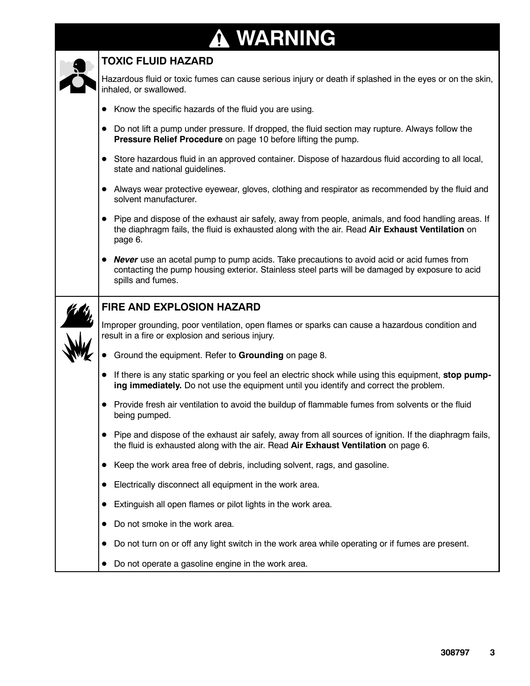#### **WARNING A**



#### **TOXIC FLUID HAZARD**

Hazardous fluid or toxic fumes can cause serious injury or death if splashed in the eyes or on the skin, inhaled, or swallowed.

- $\bullet$  Know the specific hazards of the fluid you are using.
- Do not lift a pump under pressure. If dropped, the fluid section may rupture. Always follow the **Pressure Relief Procedure** on page 10 before lifting the pump.
- Store hazardous fluid in an approved container. Dispose of hazardous fluid according to all local, state and national quidelines.
- Always wear protective eyewear, gloves, clothing and respirator as recommended by the fluid and solvent manufacturer.
- Pipe and dispose of the exhaust air safely, away from people, animals, and food handling areas. If the diaphragm fails, the fluid is exhausted along with the air. Read **Air Exhaust Ventilation** on page 6.
- **Never** use an acetal pump to pump acids. Take precautions to avoid acid or acid fumes from contacting the pump housing exterior. Stainless steel parts will be damaged by exposure to acid spills and fumes.



#### **FIRE AND EXPLOSION HAZARD**

Improper grounding, poor ventilation, open flames or sparks can cause a hazardous condition and result in a fire or explosion and serious injury.

- D Ground the equipment. Refer to **Grounding** on page 8.
- If there is any static sparking or you feel an electric shock while using this equipment, **stop pumping immediately.** Do not use the equipment until you identify and correct the problem.
- Provide fresh air ventilation to avoid the buildup of flammable fumes from solvents or the fluid being pumped.
- Pipe and dispose of the exhaust air safely, away from all sources of ignition. If the diaphragm fails, the fluid is exhausted along with the air. Read **Air Exhaust Ventilation** on page 6.
- Keep the work area free of debris, including solvent, rags, and gasoline.
- Electrically disconnect all equipment in the work area.
- Extinguish all open flames or pilot lights in the work area.
- Do not smoke in the work area.
- Do not turn on or off any light switch in the work area while operating or if fumes are present.
- Do not operate a gasoline engine in the work area.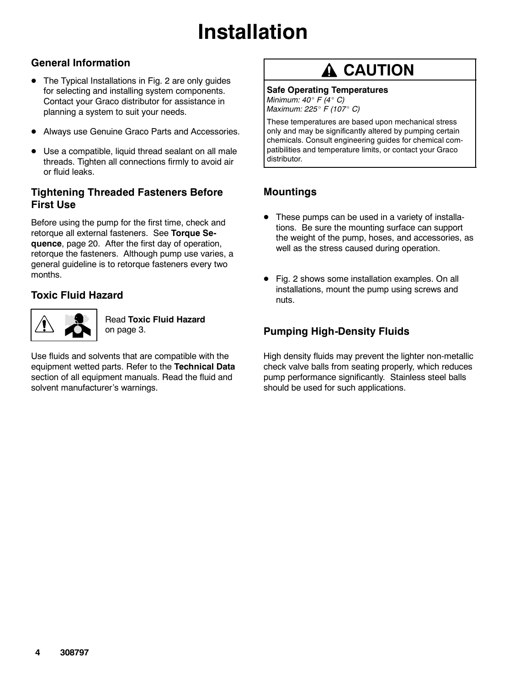#### **General Information**

- The Typical Installations in Fig. 2 are only guides for selecting and installing system components. Contact your Graco distributor for assistance in planning a system to suit your needs.
- Always use Genuine Graco Parts and Accessories.
- Use a compatible, liquid thread sealant on all male threads. Tighten all connections firmly to avoid air or fluid leaks.

#### **Tightening Threaded Fasteners Before First Use**

Before using the pump for the first time, check and retorque all external fasteners. See **Torque Sequence**, page 20. After the first day of operation, retorque the fasteners. Although pump use varies, a general guideline is to retorque fasteners every two months.

#### **Toxic Fluid Hazard**



Read **Toxic Fluid Hazard** on page 3.

Use fluids and solvents that are compatible with the equipment wetted parts. Refer to the **Technical Data** section of all equipment manuals. Read the fluid and solvent manufacturer's warnings.

## **A** CAUTION

#### **Safe Operating Temperatures**

*Minimum: 40*\_ *F (4*\_ *C) Maximum: 225*\_ *F (107*\_ *C)*

These temperatures are based upon mechanical stress only and may be significantly altered by pumping certain chemicals. Consult engineering guides for chemical compatibilities and temperature limits, or contact your Graco distributor.

#### **Mountings**

- These pumps can be used in a variety of installations. Be sure the mounting surface can support the weight of the pump, hoses, and accessories, as well as the stress caused during operation.
- Fig. 2 shows some installation examples. On all installations, mount the pump using screws and nuts.

### **Pumping High-Density Fluids**

High density fluids may prevent the lighter non-metallic check valve balls from seating properly, which reduces pump performance significantly. Stainless steel balls should be used for such applications.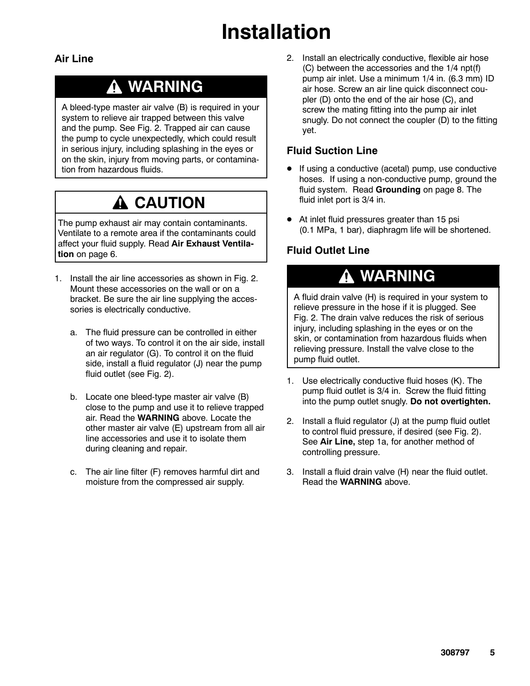#### **Air Line**

### **WARNING**

A bleed-type master air valve (B) is required in your system to relieve air trapped between this valve and the pump. See Fig. 2. Trapped air can cause the pump to cycle unexpectedly, which could result in serious injury, including splashing in the eyes or on the skin, injury from moving parts, or contamination from hazardous fluids.

## **A CAUTION**

The pump exhaust air may contain contaminants. Ventilate to a remote area if the contaminants could affect your fluid supply. Read **Air Exhaust Ventilation** on page 6.

- 1. Install the air line accessories as shown in Fig. 2. Mount these accessories on the wall or on a bracket. Be sure the air line supplying the accessories is electrically conductive.
	- a. The fluid pressure can be controlled in either of two ways. To control it on the air side, install an air regulator (G). To control it on the fluid side, install a fluid regulator (J) near the pump fluid outlet (see Fig. 2).
	- b. Locate one bleed-type master air valve (B) close to the pump and use it to relieve trapped air. Read the **WARNING** above. Locate the other master air valve (E) upstream from all air line accessories and use it to isolate them during cleaning and repair.
	- c. The air line filter (F) removes harmful dirt and moisture from the compressed air supply.

2. Install an electrically conductive, flexible air hose (C) between the accessories and the 1/4 npt(f) pump air inlet. Use a minimum 1/4 in. (6.3 mm) ID air hose. Screw an air line quick disconnect coupler (D) onto the end of the air hose (C), and screw the mating fitting into the pump air inlet snugly. Do not connect the coupler (D) to the fitting yet.

#### **Fluid Suction Line**

- If using a conductive (acetal) pump, use conductive hoses. If using a non-conductive pump, ground the fluid system. Read **Grounding** on page 8. The fluid inlet port is 3/4 in.
- $\bullet$  At inlet fluid pressures greater than 15 psi (0.1 MPa, 1 bar), diaphragm life will be shortened.

### **Fluid Outlet Line**

### **WARNING**

A fluid drain valve (H) is required in your system to relieve pressure in the hose if it is plugged. See Fig. 2. The drain valve reduces the risk of serious injury, including splashing in the eyes or on the skin, or contamination from hazardous fluids when relieving pressure. Install the valve close to the pump fluid outlet.

- 1. Use electrically conductive fluid hoses (K). The pump fluid outlet is 3/4 in. Screw the fluid fitting into the pump outlet snugly. **Do not overtighten.**
- 2. Install a fluid regulator (J) at the pump fluid outlet to control fluid pressure, if desired (see Fig. 2). See **Air Line,** step 1a, for another method of controlling pressure.
- 3. Install a fluid drain valve (H) near the fluid outlet. Read the **WARNING** above.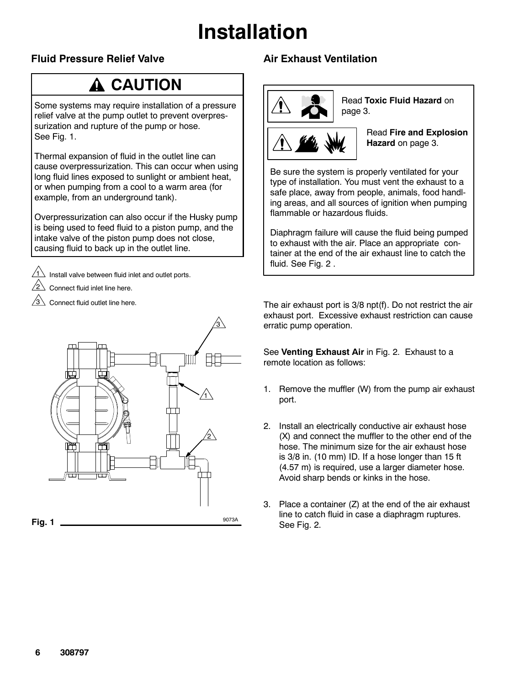### **Fluid Pressure Relief Valve**

## **A CAUTION**

Some systems may require installation of a pressure relief valve at the pump outlet to prevent overpressurization and rupture of the pump or hose. See Fig. 1.

Thermal expansion of fluid in the outlet line can cause overpressurization. This can occur when using long fluid lines exposed to sunlight or ambient heat, or when pumping from a cool to a warm area (for example, from an underground tank).

Overpressurization can also occur if the Husky pump is being used to feed fluid to a piston pump, and the intake valve of the piston pump does not close, causing fluid to back up in the outlet line.

Install valve between fluid inlet and outlet ports.

Connect fluid inlet line here.

1

Connect fluid outlet line here.



### **Air Exhaust Ventilation**



Read **Toxic Fluid Hazard** on page 3.



Read **Fire and Explosion Hazard** on page 3.

Be sure the system is properly ventilated for your type of installation. You must vent the exhaust to a safe place, away from people, animals, food handling areas, and all sources of ignition when pumping flammable or hazardous fluids.

Diaphragm failure will cause the fluid being pumped to exhaust with the air. Place an appropriate container at the end of the air exhaust line to catch the fluid. See Fig. 2 .

The air exhaust port is 3/8 npt(f). Do not restrict the air exhaust port. Excessive exhaust restriction can cause erratic pump operation.

See **Venting Exhaust Air** in Fig. 2. Exhaust to a remote location as follows:

- 1. Remove the muffler (W) from the pump air exhaust port.
- 2. Install an electrically conductive air exhaust hose (X) and connect the muffler to the other end of the hose. The minimum size for the air exhaust hose is 3/8 in. (10 mm) ID. If a hose longer than 15 ft (4.57 m) is required, use a larger diameter hose. Avoid sharp bends or kinks in the hose.
- 3. Place a container (Z) at the end of the air exhaust line to catch fluid in case a diaphragm ruptures. See Fig. 2.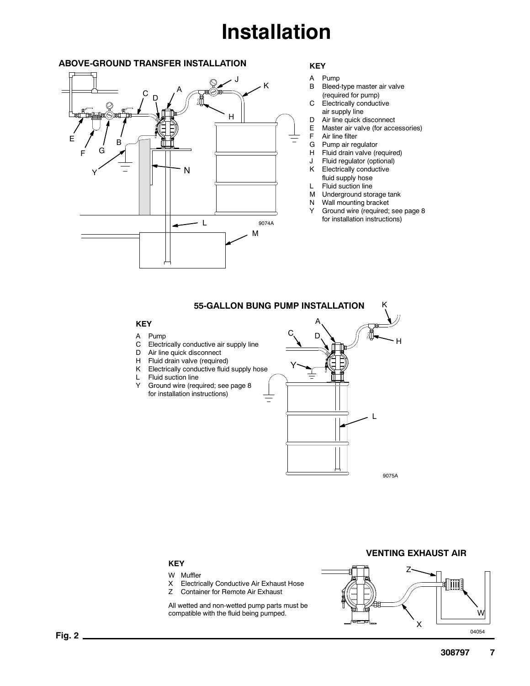#### **ABOVE-GROUND TRANSFER INSTALLATION**



#### **KEY**

- A Pump
- B Bleed-type master air valve (required for pump)
- C Electrically conductive
- air supply line
- D Air line quick disconnect<br>E Master air valve (for acce Master air valve (for accessories)
- F Air line filter
- G Pump air regulator
- H Fluid drain valve (required)
- Fluid regulator (optional)
- K Electrically conductive
- fluid supply hose
- L Fluid suction line
- M Underground storage tank
- N Wall mounting bracket
- Y Ground wire (required; see page 8 for installation instructions)

#### **55-GALLON BUNG PUMP INSTALLATION** K

#### **KEY**

- A Pump
- C Electrically conductive air supply line
- D Air line quick disconnect
- H Fluid drain valve (required)
- K Electrically conductive fluid supply hose
- L Fluid suction line Y Ground wire (required; see page 8
	- for installation instructions)



#### **VENTING EXHAUST AIR**

#### **KEY**

- W Muffler
- X Electrically Conductive Air Exhaust Hose
- Z Container for Remote Air Exhaust

All wetted and non-wetted pump parts must be compatible with the fluid being pumped.

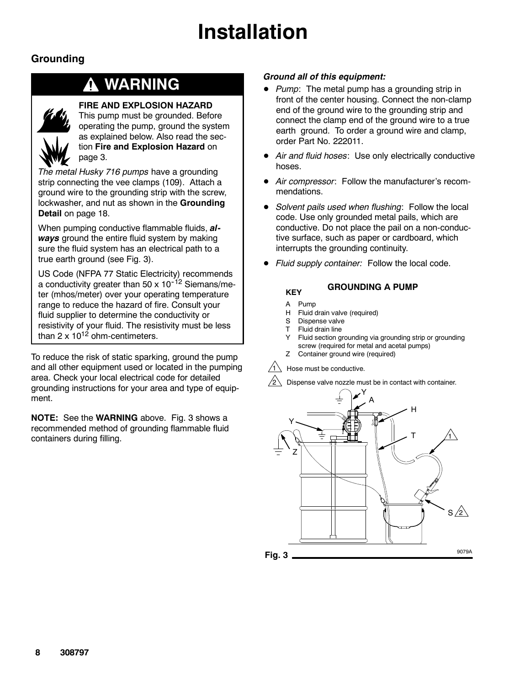### **Grounding**

### **WARNING**



#### **FIRE AND EXPLOSION HAZARD**

This pump must be grounded. Before operating the pump, ground the system as explained below. Also read the section **Fire and Explosion Hazard** on page 3.

*The metal Husky 716 pumps* have a grounding strip connecting the vee clamps (109). Attach a ground wire to the grounding strip with the screw, lockwasher, and nut as shown in the **Grounding Detail** on page 18.

When pumping conductive flammable fluids, *always* ground the entire fluid system by making sure the fluid system has an electrical path to a true earth ground (see Fig. 3).

US Code (NFPA 77 Static Electricity) recommends a conductivity greater than 50 x  $10^{-12}$  Siemans/meter (mhos/meter) over your operating temperature range to reduce the hazard of fire. Consult your fluid supplier to determine the conductivity or resistivity of your fluid. The resistivity must be less than  $2 \times 10^{12}$  ohm-centimeters.

To reduce the risk of static sparking, ground the pump and all other equipment used or located in the pumping area. Check your local electrical code for detailed grounding instructions for your area and type of equipment.

**NOTE:** See the **WARNING** above. Fig. 3 shows a recommended method of grounding flammable fluid containers during filling.

#### *Ground all of this equipment:*

- *Pump*: The metal pump has a grounding strip in front of the center housing. Connect the non-clamp end of the ground wire to the grounding strip and connect the clamp end of the ground wire to a true earth ground. To order a ground wire and clamp, order Part No. 222011.
- Air and fluid hoses: Use only electrically conductive hoses.
- $\bullet$  *Air compressor*: Follow the manufacturer's recommendations.
- *Solvent pails used when flushing*: Follow the local code. Use only grounded metal pails, which are conductive. Do not place the pail on a non-conductive surface, such as paper or cardboard, which interrupts the grounding continuity.
- Fluid supply container: Follow the local code.

#### **GROUNDING A PUMP**

A Pump

**KEY**

- H Fluid drain valve (required)
- S Dispense valve
- T Fluid drain line
- Y Fluid section grounding via grounding strip or grounding
- screw (required for metal and acetal pumps)
- Z Container ground wire (required)

#### Hose must be conductive.

2 Dispense valve nozzle must be in contact with container.

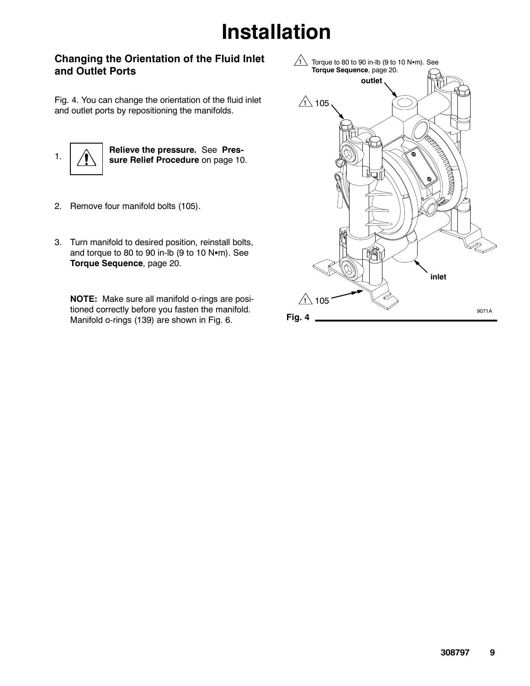#### **Changing the Orientation of the Fluid Inlet and Outlet Ports**

Fig. 4. You can change the orientation of the fluid inlet and outlet ports by repositioning the manifolds.



- 2. Remove four manifold bolts (105).
- 3. Turn manifold to desired position, reinstall bolts, and torque to 80 to 90 in-lb (9 to 10  $N$  $\cdot$ m). See **Torque Sequence**, page 20.

**NOTE:** Make sure all manifold o-rings are positioned correctly before you fasten the manifold. Manifold o-rings (139) are shown in Fig. 6. **Fig. 4** 

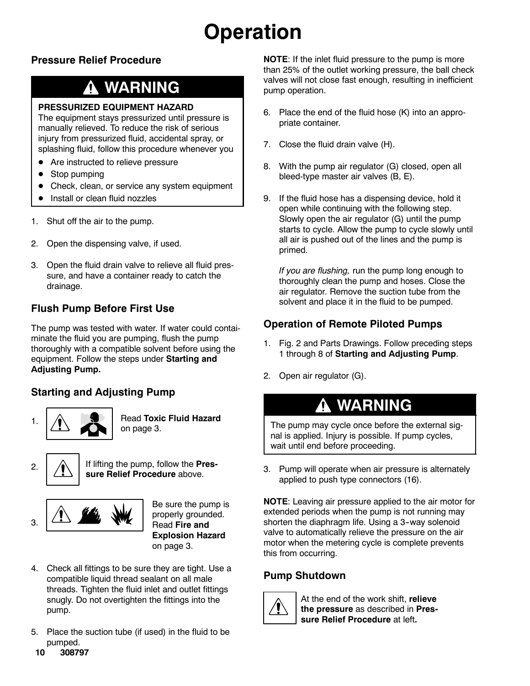# **Operation**

### **Pressure Relief Procedure**

### **WARNING**

#### **PRESSURIZED EQUIPMENT HAZARD**

The equipment stays pressurized until pressure is manually relieved. To reduce the risk of serious injury from pressurized fluid, accidental spray, or splashing fluid, follow this procedure whenever you

- Are instructed to relieve pressure
- $\bullet$  Stop pumping
- Check, clean, or service any system equipment
- Install or clean fluid nozzles
- 1. Shut off the air to the pump.
- 2. Open the dispensing valve, if used.
- 3. Open the fluid drain valve to relieve all fluid pressure, and have a container ready to catch the drainage.

### **Flush Pump Before First Use**

The pump was tested with water. If water could contaiminate the fluid you are pumping, flush the pump thoroughly with a compatible solvent before using the equipment. Follow the steps under **Starting and Adjusting Pump.**

### **Starting and Adjusting Pump**



1. **A Read Toxic Fluid Hazard** on page 3.



2.  $\bigcap_{i=1}^{\infty}$  If lifting the pump, follow the **Pressure Relief Procedure** above.



Be sure the pump is properly grounded. Read **Fire and Explosion Hazard** on page 3.

- 4. Check all fittings to be sure they are tight. Use a compatible liquid thread sealant on all male threads. Tighten the fluid inlet and outlet fittings snugly. Do not overtighten the fittings into the pump.
- 5. Place the suction tube (if used) in the fluid to be pumped.

**NOTE**: If the inlet fluid pressure to the pump is more than 25% of the outlet working pressure, the ball check valves will not close fast enough, resulting in inefficient pump operation.

- 6. Place the end of the fluid hose (K) into an appropriate container.
- 7. Close the fluid drain valve (H).
- 8. With the pump air regulator (G) closed, open all bleed-type master air valves (B, E).
- 9. If the fluid hose has a dispensing device, hold it open while continuing with the following step. Slowly open the air regulator (G) until the pump starts to cycle. Allow the pump to cycle slowly until all air is pushed out of the lines and the pump is primed.

*If you are flushing,* run the pump long enough to thoroughly clean the pump and hoses. Close the air regulator. Remove the suction tube from the solvent and place it in the fluid to be pumped.

### **Operation of Remote Piloted Pumps**

- 1. Fig. 2 and Parts Drawings. Follow preceding steps 1 through 8 of **Starting and Adjusting Pump**.
- 2. Open air regulator (G).

## **WARNING**

The pump may cycle once before the external signal is applied. Injury is possible. If pump cycles, wait until end before proceeding.

3. Pump will operate when air pressure is alternately applied to push type connectors (16).

**NOTE**: Leaving air pressure applied to the air motor for extended periods when the pump is not running may shorten the diaphragm life. Using a 3-way solenoid valve to automatically relieve the pressure on the air motor when the metering cycle is complete prevents this from occurring.

### **Pump Shutdown**



At the end of the work shift, **relieve the pressure** as described in **Pressure Relief Procedure** at left**.**

**10 308797**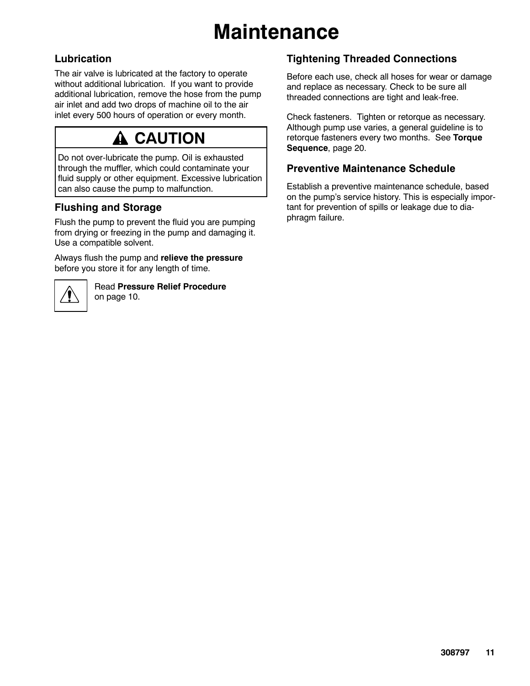# **Maintenance**

### **Lubrication**

The air valve is lubricated at the factory to operate without additional lubrication. If you want to provide additional lubrication, remove the hose from the pump air inlet and add two drops of machine oil to the air inlet every 500 hours of operation or every month.

## **A CAUTION**

Do not over-lubricate the pump. Oil is exhausted through the muffler, which could contaminate your fluid supply or other equipment. Excessive lubrication can also cause the pump to malfunction.

### **Flushing and Storage**

Flush the pump to prevent the fluid you are pumping from drying or freezing in the pump and damaging it. Use a compatible solvent.

Always flush the pump and **relieve the pressure** before you store it for any length of time.



Read **Pressure Relief Procedure** on page 10.

### **Tightening Threaded Connections**

Before each use, check all hoses for wear or damage and replace as necessary. Check to be sure all threaded connections are tight and leak-free.

Check fasteners. Tighten or retorque as necessary. Although pump use varies, a general guideline is to retorque fasteners every two months. See **Torque Sequence**, page 20.

#### **Preventive Maintenance Schedule**

Establish a preventive maintenance schedule, based on the pump's service history. This is especially important for prevention of spills or leakage due to diaphragm failure.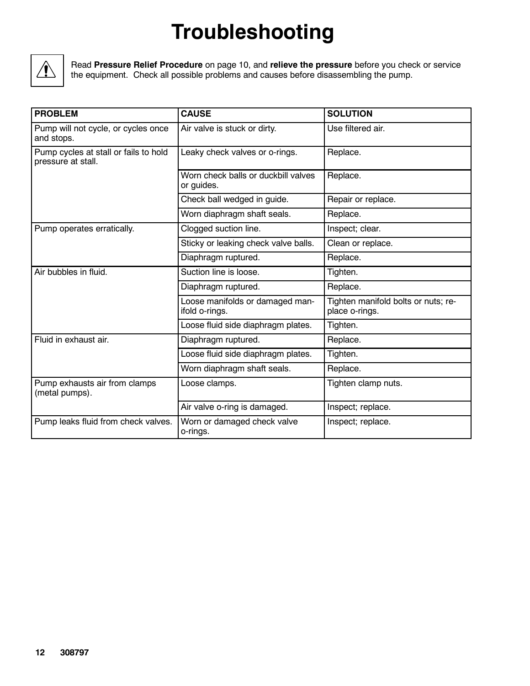# **Troubleshooting**



Read **Pressure Relief Procedure** on page 10, and **relieve the pressure** before you check or service the equipment. Check all possible problems and causes before disassembling the pump.

| <b>PROBLEM</b>                                              | <b>CAUSE</b>                                      | <b>SOLUTION</b>                                       |
|-------------------------------------------------------------|---------------------------------------------------|-------------------------------------------------------|
| Pump will not cycle, or cycles once<br>and stops.           | Air valve is stuck or dirty.                      | Use filtered air.                                     |
| Pump cycles at stall or fails to hold<br>pressure at stall. | Leaky check valves or o-rings.                    | Replace.                                              |
|                                                             | Worn check balls or duckbill valves<br>or guides. | Replace.                                              |
|                                                             | Check ball wedged in guide.                       | Repair or replace.                                    |
|                                                             | Worn diaphragm shaft seals.                       | Replace.                                              |
| Pump operates erratically.                                  | Clogged suction line.                             | Inspect; clear.                                       |
|                                                             | Sticky or leaking check valve balls.              | Clean or replace.                                     |
|                                                             | Diaphragm ruptured.                               | Replace.                                              |
| Air bubbles in fluid.                                       | Suction line is loose.                            | Tighten.                                              |
|                                                             | Diaphragm ruptured.                               | Replace.                                              |
|                                                             | Loose manifolds or damaged man-<br>ifold o-rings. | Tighten manifold bolts or nuts; re-<br>place o-rings. |
|                                                             | Loose fluid side diaphragm plates.                | Tighten.                                              |
| Fluid in exhaust air.                                       | Diaphragm ruptured.                               | Replace.                                              |
|                                                             | Loose fluid side diaphragm plates.                | Tighten.                                              |
|                                                             | Worn diaphragm shaft seals.                       | Replace.                                              |
| Pump exhausts air from clamps<br>(metal pumps).             | Loose clamps.                                     | Tighten clamp nuts.                                   |
|                                                             | Air valve o-ring is damaged.                      | Inspect; replace.                                     |
| Pump leaks fluid from check valves.                         | Worn or damaged check valve<br>o-rings.           | Inspect; replace.                                     |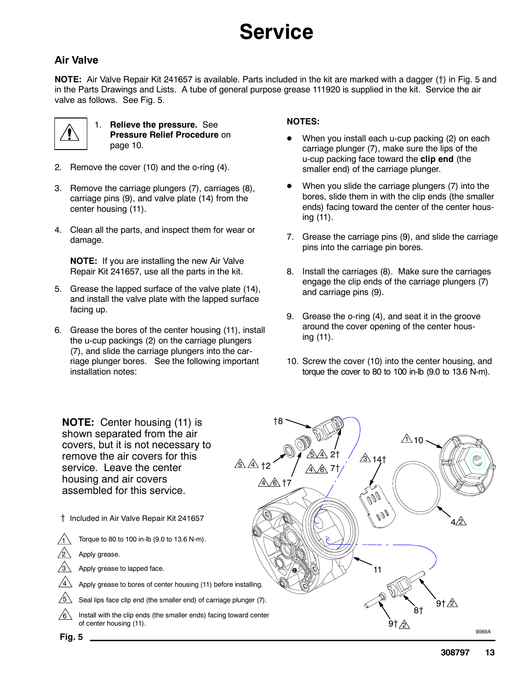#### **Air Valve**

**NOTE:** Air Valve Repair Kit 241657 is available. Parts included in the kit are marked with a dagger ({) in Fig. 5 and in the Parts Drawings and Lists. A tube of general purpose grease 111920 is supplied in the kit. Service the air valve as follows. See Fig. 5.



1. **Relieve the pressure.** See **Pressure Relief Procedure** on page 10.

- 2. Remove the cover (10) and the o-ring (4).
- 3. Remove the carriage plungers (7), carriages (8), carriage pins (9), and valve plate (14) from the center housing (11).
- 4. Clean all the parts, and inspect them for wear or damage.

**NOTE:** If you are installing the new Air Valve Repair Kit 241657, use all the parts in the kit.

- 5. Grease the lapped surface of the valve plate (14), and install the valve plate with the lapped surface facing up.
- 6. Grease the bores of the center housing (11), install the u-cup packings (2) on the carriage plungers (7), and slide the carriage plungers into the carriage plunger bores. See the following important installation notes:

#### **NOTES:**

- When you install each u-cup packing (2) on each carriage plunger (7), make sure the lips of the u-cup packing face toward the **clip end** (the smaller end) of the carriage plunger.
- When you slide the carriage plungers (7) into the bores, slide them in with the clip ends (the smaller ends) facing toward the center of the center housing (11).
- 7. Grease the carriage pins (9), and slide the carriage pins into the carriage pin bores.
- 8. Install the carriages (8). Make sure the carriages engage the clip ends of the carriage plungers (7) and carriage pins (9).
- 9. Grease the o-ring (4), and seat it in the groove around the cover opening of the center housing (11).
- 10. Screw the cover (10) into the center housing, and torque the cover to 80 to 100 in-lb (9.0 to 13.6 N-m).

**NOTE:** Center housing (11) is shown separated from the air covers, but it is not necessary to remove the air covers for this service. Leave the center housing and air covers assembled for this service.

- { Included in Air Valve Repair Kit 241657
	- Torque to 80 to 100 in-lb (9.0 to 13.6 N-m). Apply grease.
	-
	- Apply grease to lapped face.
	- Apply grease to bores of center housing (11) before installing.
	- 5 Seal lips face clip end (the smaller end) of carriage plunger (7).
- Install with the clip ends (the smaller ends) facing toward center of center housing (11). 6



1 2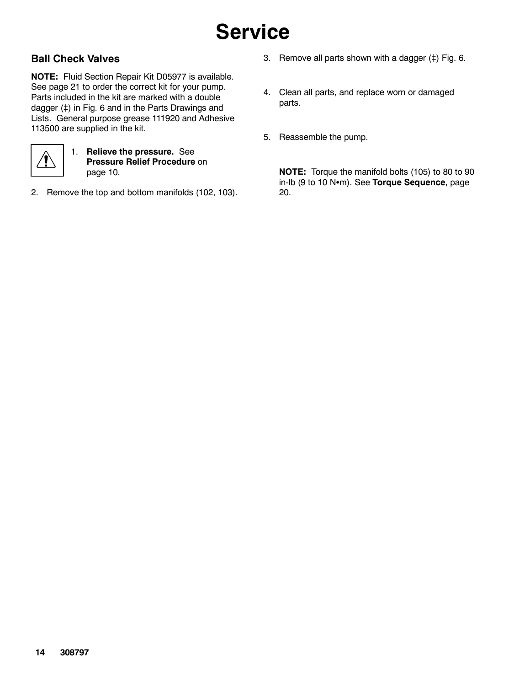#### **Ball Check Valves**

**NOTE:** Fluid Section Repair Kit D05977 is available. See page 21 to order the correct kit for your pump. Parts included in the kit are marked with a double dagger (‡) in Fig. 6 and in the Parts Drawings and Lists. General purpose grease 111920 and Adhesive 113500 are supplied in the kit.



1. **Relieve the pressure.** See **Pressure Relief Procedure** on page 10.

2. Remove the top and bottom manifolds (102, 103).

- 3. Remove all parts shown with a dagger  $(†)$  Fig. 6.
- 4. Clean all parts, and replace worn or damaged parts.
- 5. Reassemble the pump.

**NOTE:** Torque the manifold bolts (105) to 80 to 90 in-lb (9 to 10 Nom). See Torque Sequence, page 20.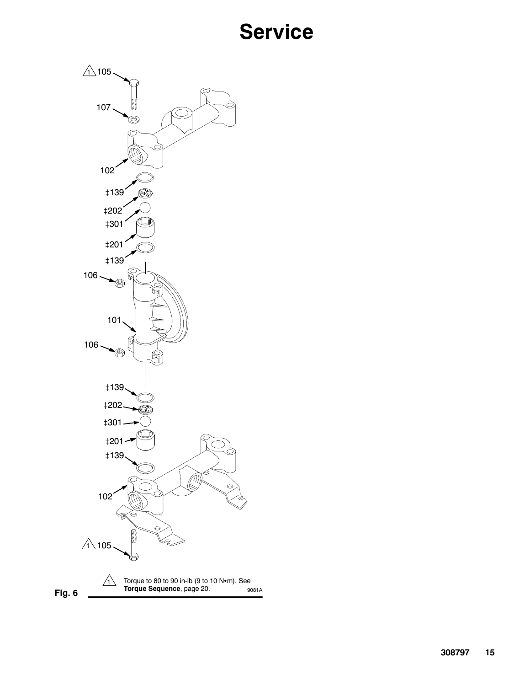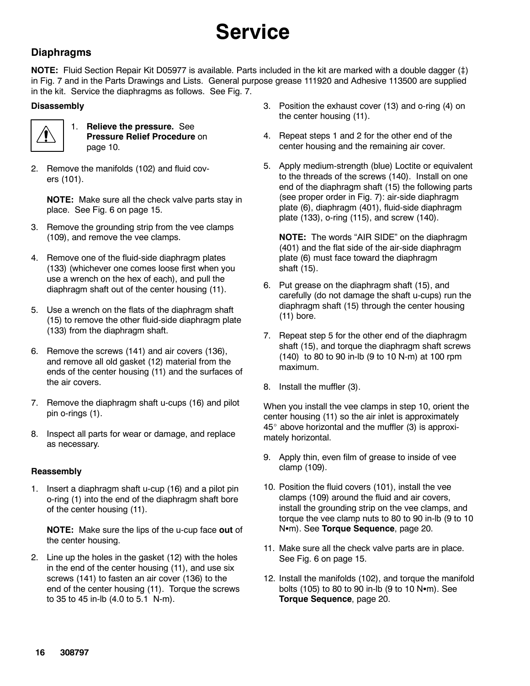#### **Diaphragms**

**NOTE:** Fluid Section Repair Kit D05977 is available. Parts included in the kit are marked with a double dagger (#) in Fig. 7 and in the Parts Drawings and Lists. General purpose grease 111920 and Adhesive 113500 are supplied in the kit. Service the diaphragms as follows. See Fig. 7.

#### **Disassembly**



1. **Relieve the pressure.** See **Pressure Relief Procedure** on page 10.

2. Remove the manifolds (102) and fluid covers (101).

**NOTE:** Make sure all the check valve parts stay in place. See Fig. 6 on page 15.

- 3. Remove the grounding strip from the vee clamps (109), and remove the vee clamps.
- 4. Remove one of the fluid-side diaphragm plates (133) (whichever one comes loose first when you use a wrench on the hex of each), and pull the diaphragm shaft out of the center housing (11).
- 5. Use a wrench on the flats of the diaphragm shaft (15) to remove the other fluid-side diaphragm plate (133) from the diaphragm shaft.
- 6. Remove the screws (141) and air covers (136), and remove all old gasket (12) material from the ends of the center housing (11) and the surfaces of the air covers.
- 7. Remove the diaphragm shaft u-cups (16) and pilot pin o-rings (1).
- 8. Inspect all parts for wear or damage, and replace as necessary.

#### **Reassembly**

1. Insert a diaphragm shaft u-cup (16) and a pilot pin o-ring (1) into the end of the diaphragm shaft bore of the center housing (11).

**NOTE:** Make sure the lips of the u-cup face **out** of the center housing.

2. Line up the holes in the gasket (12) with the holes in the end of the center housing (11), and use six screws (141) to fasten an air cover (136) to the end of the center housing (11). Torque the screws to 35 to 45 in-lb (4.0 to 5.1 N-m).

- 3. Position the exhaust cover (13) and o-ring (4) on the center housing (11).
- 4. Repeat steps 1 and 2 for the other end of the center housing and the remaining air cover.
- 5. Apply medium-strength (blue) Loctite or equivalent to the threads of the screws (140). Install on one end of the diaphragm shaft (15) the following parts (see proper order in Fig. 7): air-side diaphragm plate (6), diaphragm (401), fluid-side diaphragm plate (133), o-ring (115), and screw (140).

**NOTE:** The words "AIR SIDE" on the diaphragm (401) and the flat side of the air-side diaphragm plate (6) must face toward the diaphragm shaft (15).

- 6. Put grease on the diaphragm shaft (15), and carefully (do not damage the shaft u-cups) run the diaphragm shaft (15) through the center housing (11) bore.
- 7. Repeat step 5 for the other end of the diaphragm shaft (15), and torque the diaphragm shaft screws (140) to 80 to 90 in-lb (9 to 10 N-m) at 100 rpm maximum.
- 8. Install the muffler (3).

When you install the vee clamps in step 10, orient the center housing (11) so the air inlet is approximately  $45^\circ$  above horizontal and the muffler (3) is approximately horizontal.

- 9. Apply thin, even film of grease to inside of vee clamp (109).
- 10. Position the fluid covers (101), install the vee clamps (109) around the fluid and air covers, install the grounding strip on the vee clamps, and torque the vee clamp nuts to 80 to 90 in-lb (9 to 10 Nom). See Torque Sequence, page 20.
- 11. Make sure all the check valve parts are in place. See Fig. 6 on page 15.
- 12. Install the manifolds (102), and torque the manifold bolts  $(105)$  to 80 to 90 in-lb  $(9$  to 10 N $\bullet$ m). See **Torque Sequence**, page 20.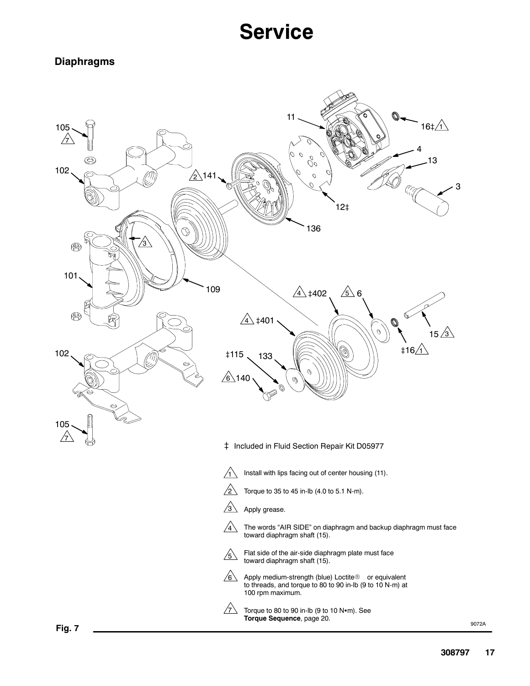#### **Diaphragms**



**Fig. 7**

9072A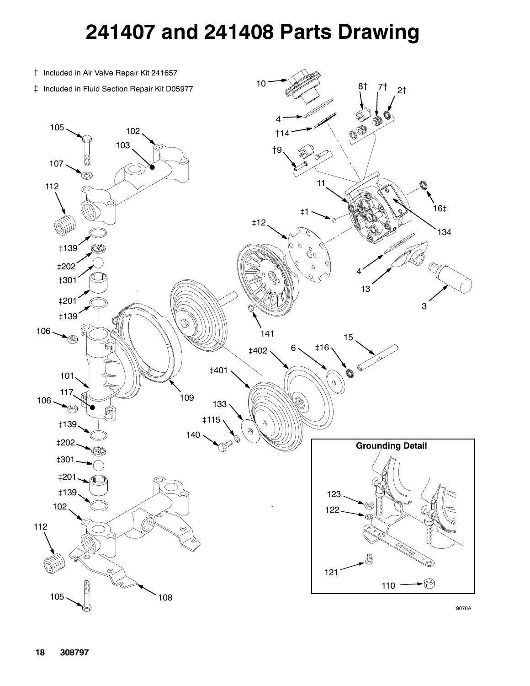## **241407 and 241408 Parts Drawing**



9070A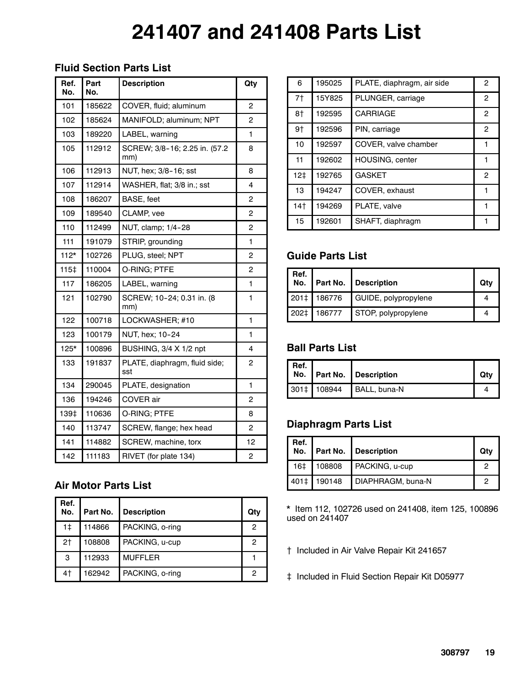# **241407 and 241408 Parts List**

#### **Fluid Section Parts List**

| Ref.<br>No. | Part<br>No. | <b>Description</b>                    | Qty |
|-------------|-------------|---------------------------------------|-----|
| 101         | 185622      | COVER, fluid; aluminum                | 2   |
| 102         | 185624      | MANIFOLD; aluminum; NPT               | 2   |
| 103         | 189220      | LABEL, warning                        | 1   |
| 105         | 112912      | SCREW; 3/8-16; 2.25 in. (57.2)<br>mm) | 8   |
| 106         | 112913      | NUT, hex; 3/8-16; sst                 | 8   |
| 107         | 112914      | WASHER, flat; 3/8 in.; sst            | 4   |
| 108         | 186207      | BASE, feet                            | 2   |
| 109         | 189540      | CLAMP, vee                            | 2   |
| 110         | 112499      | NUT, clamp; 1/4-28                    | 2   |
| 111         | 191079      | STRIP, grounding                      | 1   |
| $112*$      | 102726      | PLUG, steel; NPT                      | 2   |
| 115‡        | 110004      | O-RING; PTFE                          | 2   |
| 117         | 186205      | LABEL, warning                        | 1   |
| 121         | 102790      | SCREW; 10-24; 0.31 in. (8<br>mm)      | 1   |
| 122         | 100718      | LOCKWASHER; #10                       | 1   |
| 123         | 100179      | NUT, hex; 10-24                       | 1   |
| $125*$      | 100896      | BUSHING, 3/4 X 1/2 npt                | 4   |
| 133         | 191837      | PLATE, diaphragm, fluid side;<br>sst  | 2   |
| 134         | 290045      | PLATE, designation                    | 1   |
| 136         | 194246      | COVER air                             | 2   |
| 139‡        | 110636      | O-RING; PTFE                          | 8   |
| 140         | 113747      | SCREW, flange; hex head               | 2   |
| 141         | 114882      | SCREW, machine, torx                  | 12  |
| 142         | 111183      | RIVET (for plate 134)                 | 2   |

#### **Air Motor Parts List**

| Ref.<br>No. | Part No. | Description     | Qty |
|-------------|----------|-----------------|-----|
| 1‡          | 114866   | PACKING, o-ring | 2   |
| 2†          | 108808   | PACKING, u-cup  | 2   |
| 3           | 112933   | <b>MUFFLER</b>  |     |
| 4†          | 162942   | PACKING, o-ring | 2   |

| 6   | 195025 | PLATE, diaphragm, air side | 2            |
|-----|--------|----------------------------|--------------|
| 7†  | 15Y825 | PLUNGER, carriage          | 2            |
| 8†  | 192595 | <b>CARRIAGE</b>            | $\mathbf{2}$ |
| 9†  | 192596 | PIN, carriage              | 2            |
| 10  | 192597 | COVER, valve chamber       |              |
| 11  | 192602 | <b>HOUSING, center</b>     |              |
| 12‡ | 192765 | <b>GASKET</b>              | 2            |
| 13  | 194247 | COVER, exhaust             |              |
| 14† | 194269 | PLATE, valve               |              |
| 15  | 192601 | SHAFT, diaphragm           |              |

#### **Guide Parts List**

| Ref. |             | No.   Part No.   Description | Qtv |
|------|-------------|------------------------------|-----|
|      | 201‡ 186776 | GUIDE, polypropylene         |     |
| 202‡ | 186777      | STOP, polypropylene          |     |

### **Ball Parts List**

| Ref. I |             | No. Part No. Description | Otv |
|--------|-------------|--------------------------|-----|
|        | 301‡ 108944 | BALL, buna-N             |     |

### **Diaphragm Parts List**

| Ref.<br>  No.   |             | <b>Part No.   Description</b> | Qtv |
|-----------------|-------------|-------------------------------|-----|
| 16 <sup>‡</sup> |             | 108808 PACKING, u-cup         |     |
|                 | 401‡ 190148 | DIAPHRAGM, buna-N             |     |

\* Item 112, 102726 used on 241408, item 125, 100896 used on 241407

- { Included in Air Valve Repair Kit 241657
- } Included in Fluid Section Repair Kit D05977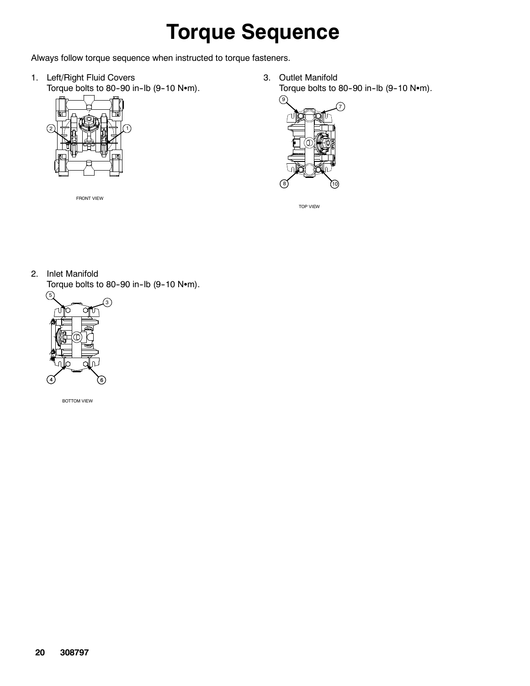# **Torque Sequence**

Always follow torque sequence when instructed to torque fasteners.

1. Left/Right Fluid Covers Torque bolts to 80-90 in-lb  $(9-10 \text{ N}\cdot\text{m})$ .



FRONT VIEW

3. Outlet Manifold Torque bolts to 80-90 in-lb  $(9-10 \text{ N}\cdot\text{m})$ .



TOP VIEW

2. Inlet Manifold

Torque bolts to 80-90 in-lb  $(9-10 \text{ N}\cdot\text{m})$ .



BOTTOM VIEW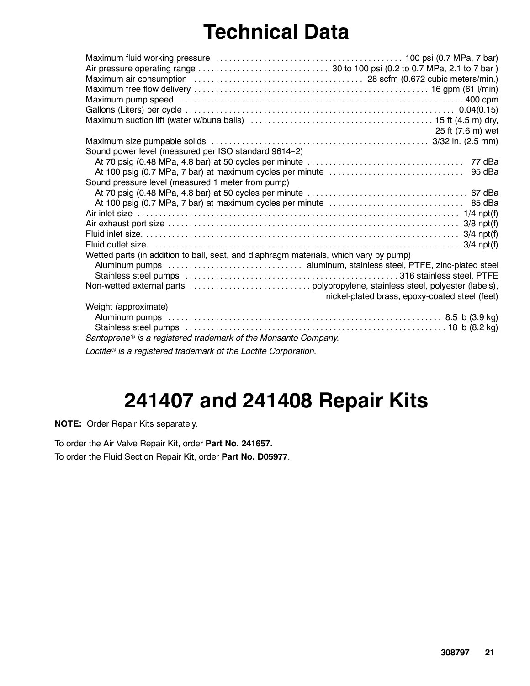# **Technical Data**

|                                                                                       | 25 ft (7.6 m) wet                              |
|---------------------------------------------------------------------------------------|------------------------------------------------|
|                                                                                       |                                                |
| Sound power level (measured per ISO standard 9614-2)                                  |                                                |
|                                                                                       |                                                |
|                                                                                       | 95 dBa                                         |
| Sound pressure level (measured 1 meter from pump)                                     |                                                |
|                                                                                       |                                                |
|                                                                                       |                                                |
|                                                                                       |                                                |
|                                                                                       |                                                |
|                                                                                       |                                                |
|                                                                                       |                                                |
| Wetted parts (in addition to ball, seat, and diaphragm materials, which vary by pump) |                                                |
|                                                                                       |                                                |
|                                                                                       |                                                |
|                                                                                       |                                                |
|                                                                                       | nickel-plated brass, epoxy-coated steel (feet) |
| Weight (approximate)                                                                  |                                                |
|                                                                                       |                                                |
|                                                                                       |                                                |
| Santoprene® is a registered trademark of the Monsanto Company.                        |                                                |
| Loctite <sup>®</sup> is a registered trademark of the Loctite Corporation.            |                                                |

## **241407 and 241408 Repair Kits**

**NOTE:** Order Repair Kits separately.

To order the Air Valve Repair Kit, order **Part No. 241657.**

To order the Fluid Section Repair Kit, order **Part No. D05977**.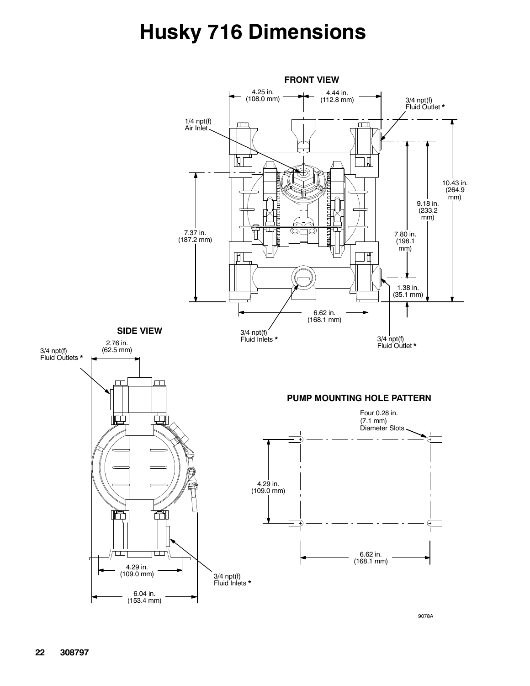# **Husky 716 Dimensions**



9078A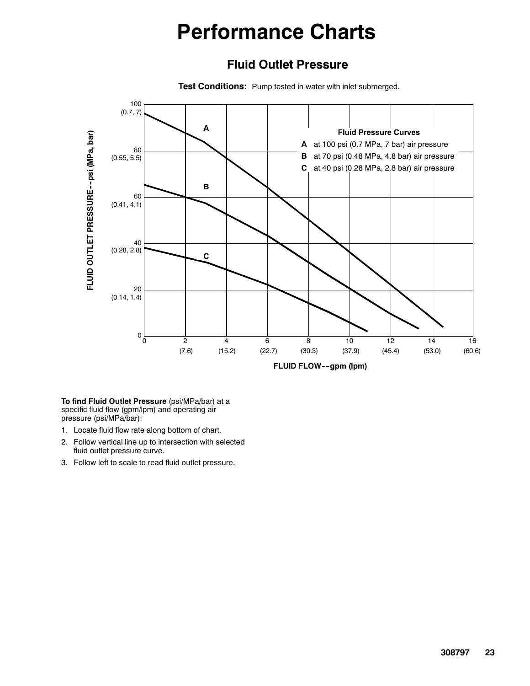## **Performance Charts**

#### **Fluid Outlet Pressure**

**Test Conditions:** Pump tested in water with inlet submerged.



**To find Fluid Outlet Pressure** (psi/MPa/bar) at a specific fluid flow (gpm/lpm) and operating air pressure (psi/MPa/bar):

- 1. Locate fluid flow rate along bottom of chart.
- 2. Follow vertical line up to intersection with selected fluid outlet pressure curve.
- 3. Follow left to scale to read fluid outlet pressure.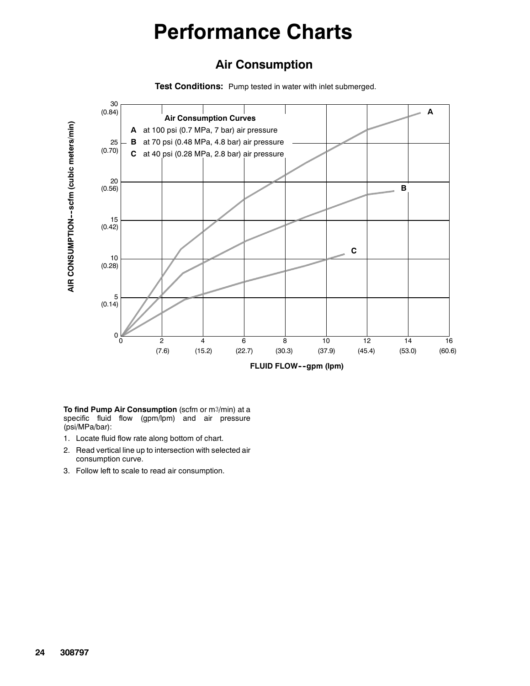## **Performance Charts**

#### **Air Consumption**

**Test Conditions:** Pump tested in water with inlet submerged.



**To find Pump Air Consumption** (scfm or m3/min) at a specific fluid flow (gpm/lpm) and air pressure (psi/MPa/bar):

- 1. Locate fluid flow rate along bottom of chart.
- 2. Read vertical line up to intersection with selected air consumption curve.
-